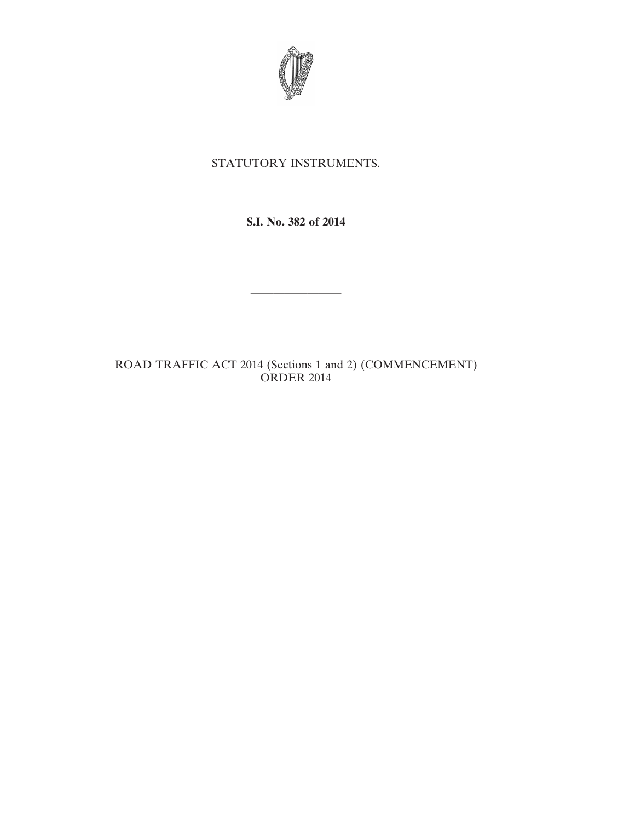

## STATUTORY INSTRUMENTS.

**S.I. No. 382 of 2014**

————————

ROAD TRAFFIC ACT 2014 (Sections 1 and 2) (COMMENCEMENT) ORDER 2014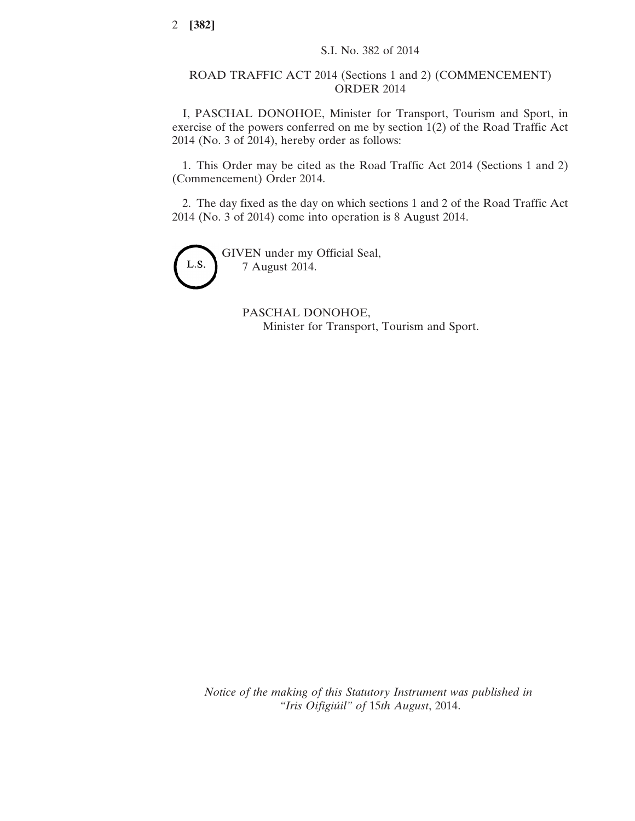## ROAD TRAFFIC ACT 2014 (Sections 1 and 2) (COMMENCEMENT) ORDER 2014

I, PASCHAL DONOHOE, Minister for Transport, Tourism and Sport, in exercise of the powers conferred on me by section 1(2) of the Road Traffic Act 2014 (No. 3 of 2014), hereby order as follows:

1. This Order may be cited as the Road Traffic Act 2014 (Sections 1 and 2) (Commencement) Order 2014.

2. The day fixed as the day on which sections 1 and 2 of the Road Traffic Act 2014 (No. 3 of 2014) come into operation is 8 August 2014.



GIVEN under my Official Seal, 7 August 2014.

> PASCHAL DONOHOE, Minister for Transport, Tourism and Sport.

*Notice of the making of this Statutory Instrument was published in "Iris Oifigiúil" of* 15*th August*, 2014.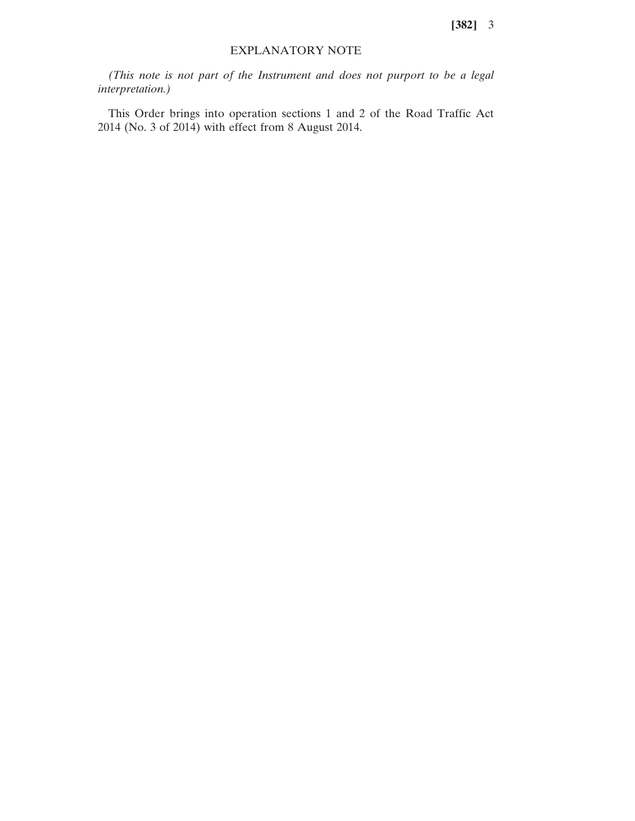**[382]** 3

## EXPLANATORY NOTE

*(This note is not part of the Instrument and does not purport to be a legal interpretation.)*

This Order brings into operation sections 1 and 2 of the Road Traffic Act 2014 (No. 3 of 2014) with effect from 8 August 2014.